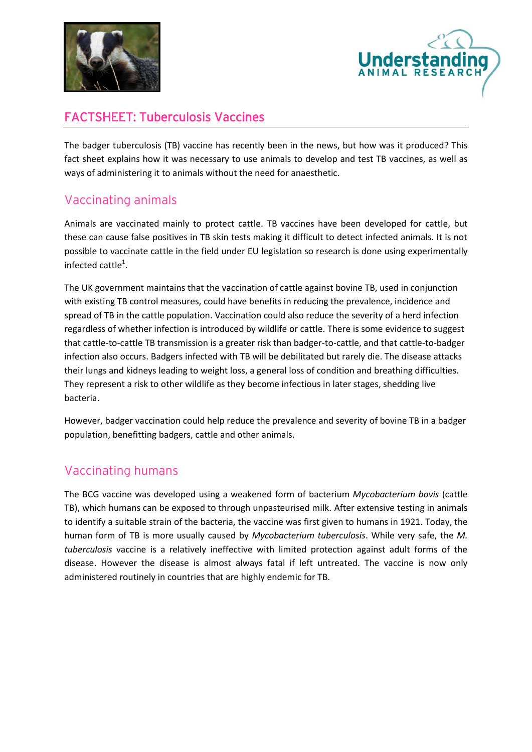



## FACTSHEET: Tuberculosis Vaccines

The badger tuberculosis (TB) vaccine has recently been in the news, but how was it produced? This fact sheet explains how it was necessary to use animals to develop and test TB vaccines, as well as ways of administering it to animals without the need for anaesthetic.

## Vaccinating animals

Animals are vaccinated mainly to protect cattle. TB vaccines have been developed for cattle, but these can cause false positives in TB skin tests making it difficult to detect infected animals. It is not possible to vaccinate cattle in the field under EU legislation so research is done using experimentally infected cattle<sup>1</sup>.

The UK government maintains that the vaccination of cattle against bovine TB, used in conjunction with existing TB control measures, could have benefits in reducing the prevalence, incidence and spread of TB in the cattle population. Vaccination could also reduce the severity of a herd infection regardless of whether infection is introduced by wildlife or cattle. There is some evidence to suggest that cattle-to-cattle TB transmission is a greater risk than badger-to-cattle, and that cattle-to-badger infection also occurs. Badgers infected with TB will be debilitated but rarely die. The disease attacks their lungs and kidneys leading to weight loss, a general loss of condition and breathing difficulties. They represent a risk to other wildlife as they become infectious in later stages, shedding live bacteria.

However, badger vaccination could help reduce the prevalence and severity of bovine TB in a badger population, benefitting badgers, cattle and other animals.

## Vaccinating humans

The BCG vaccine was developed using a weakened form of bacterium *Mycobacterium bovis* (cattle TB), which humans can be exposed to through unpasteurised milk. After extensive testing in animals to identify a suitable strain of the bacteria, the vaccine was first given to humans in 1921. Today, the human form of TB is more usually caused by *Mycobacterium tuberculosis*. While very safe, the *M. tuberculosis* vaccine is a relatively ineffective with limited protection against adult forms of the disease. However the disease is almost always fatal if left untreated. The vaccine is now only administered routinely in countries that are highly endemic for TB.